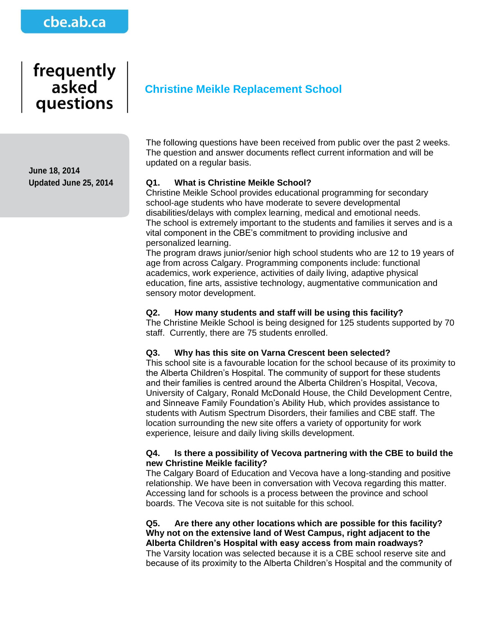## cbe.ab.ca

# frequently asked questions

**June 18, 2014 Updated June 25, 2014**

### **Christine Meikle Replacement School**

The following questions have been received from public over the past 2 weeks. The question and answer documents reflect current information and will be updated on a regular basis.

#### **Q1. What is Christine Meikle School?**

Christine Meikle School provides educational programming for secondary school-age students who have moderate to severe developmental disabilities/delays with complex learning, medical and emotional needs. The school is extremely important to the students and families it serves and is a vital component in the CBE's commitment to providing inclusive and personalized learning.

The program draws junior/senior high school students who are 12 to 19 years of age from across Calgary. Programming components include: functional academics, work experience, activities of daily living, adaptive physical education, fine arts, assistive technology, augmentative communication and sensory motor development.

#### **Q2. How many students and staff will be using this facility?**

The Christine Meikle School is being designed for 125 students supported by 70 staff. Currently, there are 75 students enrolled.

#### **Q3. Why has this site on Varna Crescent been selected?**

This school site is a favourable location for the school because of its proximity to the Alberta Children's Hospital. The community of support for these students and their families is centred around the Alberta Children's Hospital, Vecova, University of Calgary, Ronald McDonald House, the Child Development Centre, and Sinneave Family Foundation's Ability Hub, which provides assistance to students with Autism Spectrum Disorders, their families and CBE staff. The location surrounding the new site offers a variety of opportunity for work experience, leisure and daily living skills development.

#### **Q4. Is there a possibility of Vecova partnering with the CBE to build the new Christine Meikle facility?**

The Calgary Board of Education and Vecova have a long-standing and positive relationship. We have been in conversation with Vecova regarding this matter. Accessing land for schools is a process between the province and school boards. The Vecova site is not suitable for this school.

**Q5. Are there any other locations which are possible for this facility? Why not on the extensive land of West Campus, right adjacent to the Alberta Children's Hospital with easy access from main roadways?**

The Varsity location was selected because it is a CBE school reserve site and because of its proximity to the Alberta Children's Hospital and the community of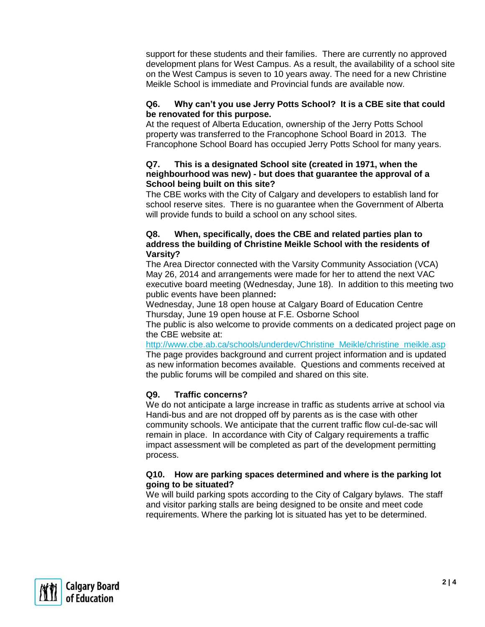support for these students and their families. There are currently no approved development plans for West Campus. As a result, the availability of a school site on the West Campus is seven to 10 years away. The need for a new Christine Meikle School is immediate and Provincial funds are available now.

#### **Q6. Why can't you use Jerry Potts School? It is a CBE site that could be renovated for this purpose.**

At the request of Alberta Education, ownership of the Jerry Potts School property was transferred to the Francophone School Board in 2013. The Francophone School Board has occupied Jerry Potts School for many years.

#### **Q7. This is a designated School site (created in 1971, when the neighbourhood was new) - but does that guarantee the approval of a School being built on this site?**

The CBE works with the City of Calgary and developers to establish land for school reserve sites. There is no guarantee when the Government of Alberta will provide funds to build a school on any school sites.

#### **Q8. When, specifically, does the CBE and related parties plan to address the building of Christine Meikle School with the residents of Varsity?**

The Area Director connected with the Varsity Community Association (VCA) May 26, 2014 and arrangements were made for her to attend the next VAC executive board meeting (Wednesday, June 18). In addition to this meeting two public events have been planned**:**

Wednesday, June 18 open house at Calgary Board of Education Centre Thursday, June 19 open house at F.E. Osborne School

The public is also welcome to provide comments on a dedicated project page on the CBE website at:

[http://www.cbe.ab.ca/schools/underdev/Christine\\_Meikle/christine\\_meikle.asp](http://www.cbe.ab.ca/schools/underdev/Christine_Meikle/christine_meikle.asp) The page provides background and current project information and is updated as new information becomes available. Questions and comments received at the public forums will be compiled and shared on this site.

#### **Q9. Traffic concerns?**

We do not anticipate a large increase in traffic as students arrive at school via Handi-bus and are not dropped off by parents as is the case with other community schools. We anticipate that the current traffic flow cul-de-sac will remain in place. In accordance with City of Calgary requirements a traffic impact assessment will be completed as part of the development permitting process.

#### **Q10. How are parking spaces determined and where is the parking lot going to be situated?**

We will build parking spots according to the City of Calgary bylaws. The staff and visitor parking stalls are being designed to be onsite and meet code requirements. Where the parking lot is situated has yet to be determined.

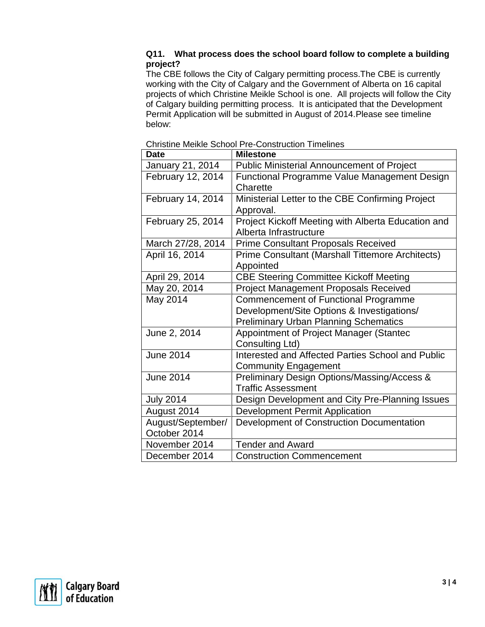#### **Q11. What process does the school board follow to complete a building project?**

The CBE follows the City of Calgary permitting process.The CBE is currently working with the City of Calgary and the Government of Alberta on 16 capital projects of which Christine Meikle School is one. All projects will follow the City of Calgary building permitting process. It is anticipated that the Development Permit Application will be submitted in August of 2014.Please see timeline below:

| <b>Date</b>       | <b>Milestone</b>                                   |
|-------------------|----------------------------------------------------|
| January 21, 2014  | <b>Public Ministerial Announcement of Project</b>  |
| February 12, 2014 | Functional Programme Value Management Design       |
|                   | Charette                                           |
| February 14, 2014 | Ministerial Letter to the CBE Confirming Project   |
|                   | Approval.                                          |
| February 25, 2014 | Project Kickoff Meeting with Alberta Education and |
|                   | Alberta Infrastructure                             |
| March 27/28, 2014 | <b>Prime Consultant Proposals Received</b>         |
| April 16, 2014    | Prime Consultant (Marshall Tittemore Architects)   |
|                   | Appointed                                          |
| April 29, 2014    | <b>CBE Steering Committee Kickoff Meeting</b>      |
| May 20, 2014      | Project Management Proposals Received              |
| May 2014          | <b>Commencement of Functional Programme</b>        |
|                   | Development/Site Options & Investigations/         |
|                   | <b>Preliminary Urban Planning Schematics</b>       |
| June 2, 2014      | Appointment of Project Manager (Stantec            |
|                   | Consulting Ltd)                                    |
| June 2014         | Interested and Affected Parties School and Public  |
|                   | <b>Community Engagement</b>                        |
| <b>June 2014</b>  | Preliminary Design Options/Massing/Access &        |
|                   | <b>Traffic Assessment</b>                          |
| <b>July 2014</b>  | Design Development and City Pre-Planning Issues    |
| August 2014       | <b>Development Permit Application</b>              |
| August/September/ | Development of Construction Documentation          |
| October 2014      |                                                    |
| November 2014     | <b>Tender and Award</b>                            |
| December 2014     | <b>Construction Commencement</b>                   |

Christine Meikle School Pre-Construction Timelines